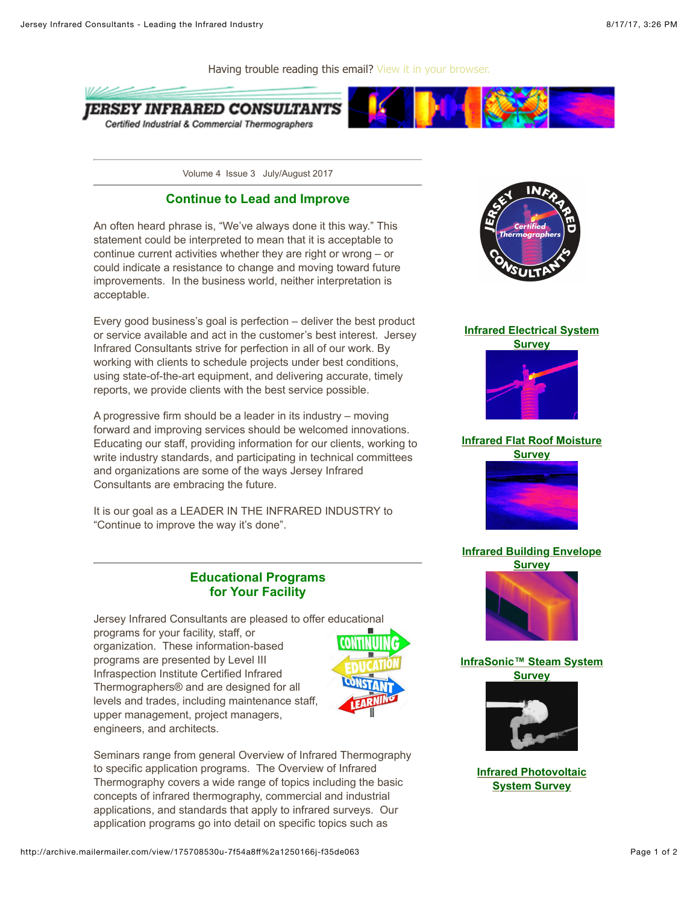



### **Continue to Lead and Improve**

An often heard phrase is, "We've always done it this way." This statement could be interpreted to mean that it is acceptable to continue current activities whether they are right or wrong – or could indicate a resistance to change and moving toward future improvements. In the business world, neither interpretation is acceptable.

Every good business's goal is perfection – deliver the best product or service available and act in the customer's best interest. Jersey Infrared Consultants strive for perfection in all of our work. By working with clients to schedule projects under best conditions, using state-of-the-art equipment, and delivering accurate, timely reports, we provide clients with the best service possible.

A progressive firm should be a leader in its industry – moving forward and improving services should be welcomed innovations. Educating our staff, providing information for our clients, working to write industry standards, and participating in technical committees and organizations are some of the ways Jersey Infrared Consultants are embracing the future.

It is our goal as a LEADER IN THE INFRARED INDUSTRY to "Continue to improve the way it's done".

### **Educational Programs for Your Facility**

Jersey Infrared Consultants are pleased to offer educational programs for your facility, staff, or organization. These information-based programs are presented by Level III Infraspection Institute Certified Infrared Thermographers® and are designed for all levels and trades, including maintenance staff, upper management, project managers, engineers, and architects.



Seminars range from general Overview of Infrared Thermography to specific application programs. The Overview of Infrared Thermography covers a wide range of topics including the basic concepts of infrared thermography, commercial and industrial applications, and standards that apply to infrared surveys. Our application programs go into detail on specific topics such as



#### **[Infrared Electrical System](http://m1e.net/c?175708530-dhMb4qxANz56Q%40391578201-wpobF4y8gllgE)**



# **[Infrared Flat Roof Moisture](http://m1e.net/c?175708530-OSRmPvs3DDxmI%40391578204-bAlmykU.QZLjs)**

**Survey**



### **[Infrared Building Envelope](http://m1e.net/c?175708530-rCrtU/tPCf1kk%40391578209-/dV6Ie.p/tZ/6)**



**[InfraSonic™ Steam System](http://m1e.net/c?175708530-9XGd8m.dit2W6%40391578213-ClSklB3ZTOCnI) Survey**



**[Infrared Photovoltaic](http://m1e.net/c?175708530-qxM4PGv82FUhI%40391578218-LwVEWUvFojaLc) System Survey**